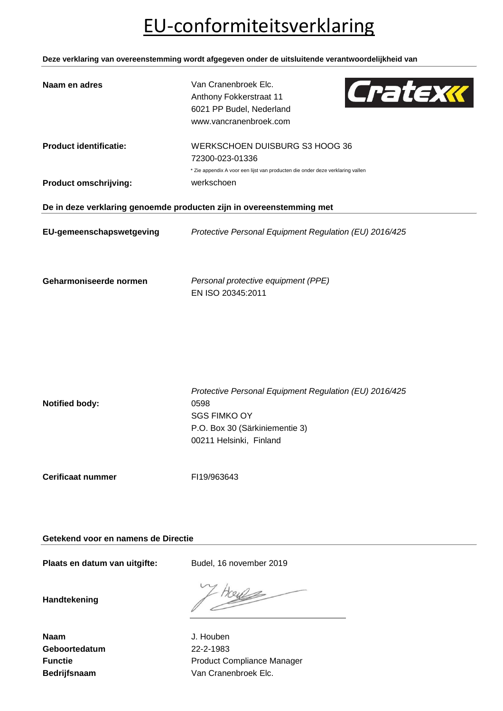## EU-conformiteitsverklaring

**Deze verklaring van overeenstemming wordt afgegeven onder de uitsluitende verantwoordelijkheid van**

| Naam en adres                                                        | Van Cranenbroek Elc.<br>Cratexk<br>Anthony Fokkerstraat 11<br>6021 PP Budel, Nederland<br>www.vancranenbroek.com                                   |  |  |
|----------------------------------------------------------------------|----------------------------------------------------------------------------------------------------------------------------------------------------|--|--|
| <b>Product identificatie:</b>                                        | WERKSCHOEN DUISBURG S3 HOOG 36<br>72300-023-01336<br>* Zie appendix A voor een lijst van producten die onder deze verklaring vallen                |  |  |
| <b>Product omschrijving:</b>                                         | werkschoen                                                                                                                                         |  |  |
| De in deze verklaring genoemde producten zijn in overeenstemming met |                                                                                                                                                    |  |  |
| EU-gemeenschapswetgeving                                             | Protective Personal Equipment Regulation (EU) 2016/425                                                                                             |  |  |
| Geharmoniseerde normen                                               | Personal protective equipment (PPE)<br>EN ISO 20345:2011                                                                                           |  |  |
| <b>Notified body:</b>                                                | Protective Personal Equipment Regulation (EU) 2016/425<br>0598<br><b>SGS FIMKO OY</b><br>P.O. Box 30 (Särkiniementie 3)<br>00211 Helsinki, Finland |  |  |

**Cerificaat nummer** FI19/963643

**Getekend voor en namens de Directie**

Plaats en datum van uitgifte: Budel, 16 november 2019

**Handtekening**

**Naam** J. Houben **Geboortedatum** 22-2-1983

**Functie Functie Function Product Compliance Manager** Bedrijfsnaam **Van Cranenbroek Elc.**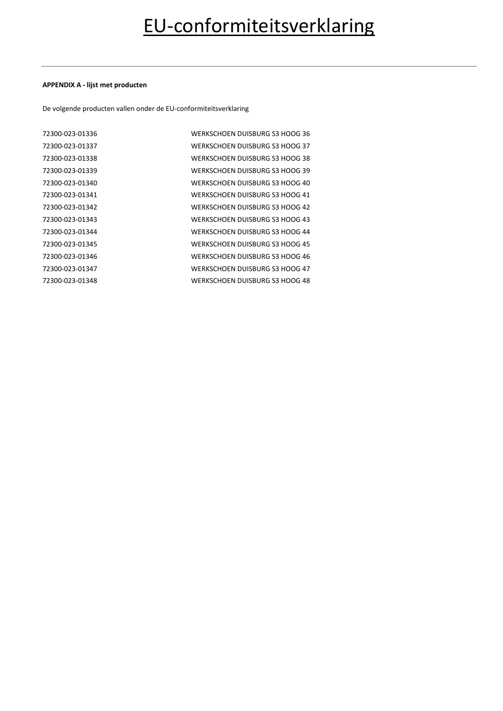### **APPENDIX A - lijst met producten**

De volgende producten vallen onder de EU-conformiteitsverklaring

| 72300-023-01336 | WERKSCHOEN DUISBURG S3 HOOG 36 |
|-----------------|--------------------------------|
| 72300-023-01337 | WERKSCHOEN DUISBURG S3 HOOG 37 |
| 72300-023-01338 | WERKSCHOEN DUISBURG S3 HOOG 38 |
| 72300-023-01339 | WERKSCHOEN DUISBURG S3 HOOG 39 |
| 72300-023-01340 | WERKSCHOEN DUISBURG S3 HOOG 40 |
| 72300-023-01341 | WERKSCHOEN DUISBURG S3 HOOG 41 |
| 72300-023-01342 | WERKSCHOEN DUISBURG S3 HOOG 42 |
| 72300-023-01343 | WERKSCHOEN DUISBURG S3 HOOG 43 |
| 72300-023-01344 | WERKSCHOEN DUISBURG S3 HOOG 44 |
| 72300-023-01345 | WERKSCHOEN DUISBURG S3 HOOG 45 |
| 72300-023-01346 | WERKSCHOEN DUISBURG S3 HOOG 46 |
| 72300-023-01347 | WERKSCHOEN DUISBURG S3 HOOG 47 |
| 72300-023-01348 | WERKSCHOEN DUISBURG S3 HOOG 48 |
|                 |                                |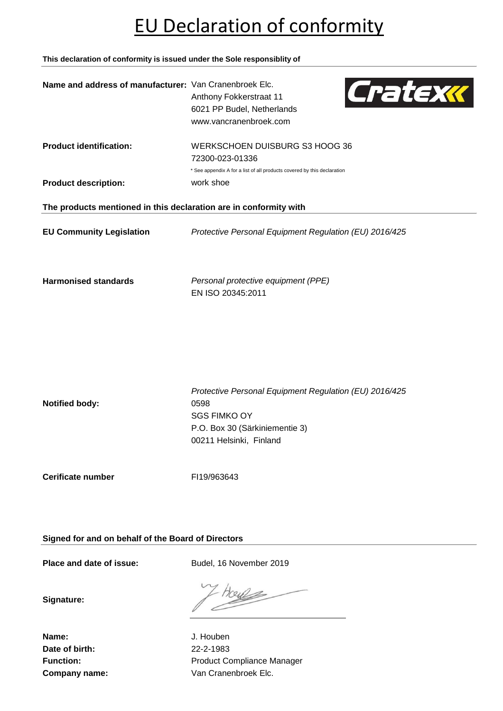## EU Declaration of conformity

**This declaration of conformity is issued under the Sole responsiblity of**



**Cerificate number** FI19/963643

**Signed for and on behalf of the Board of Directors**

Place and date of issue: Budel, 16 November 2019

**Signature:**

**Name:** J. Houben **Date of birth:** 22-2-1983

Function: **Function:** Product Compliance Manager **Company name:** Van Cranenbroek Elc.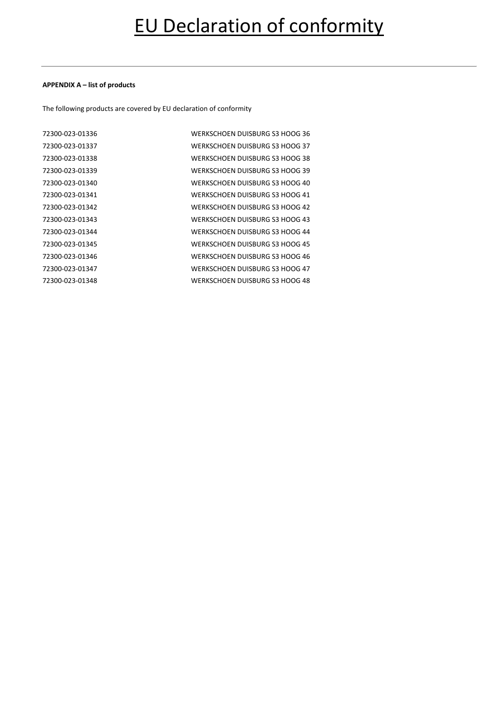### **APPENDIX A – list of products**

The following products are covered by EU declaration of conformity

| 72300-023-01336 | WERKSCHOEN DUISBURG S3 HOOG 36 |
|-----------------|--------------------------------|
| 72300-023-01337 | WERKSCHOEN DUISBURG S3 HOOG 37 |
| 72300-023-01338 | WERKSCHOEN DUISBURG S3 HOOG 38 |
| 72300-023-01339 | WERKSCHOEN DUISBURG S3 HOOG 39 |
| 72300-023-01340 | WERKSCHOEN DUISBURG S3 HOOG 40 |
| 72300-023-01341 | WERKSCHOEN DUISBURG S3 HOOG 41 |
| 72300-023-01342 | WERKSCHOEN DUISBURG S3 HOOG 42 |
| 72300-023-01343 | WERKSCHOEN DUISBURG S3 HOOG 43 |
| 72300-023-01344 | WERKSCHOEN DUISBURG S3 HOOG 44 |
| 72300-023-01345 | WERKSCHOEN DUISBURG S3 HOOG 45 |
| 72300-023-01346 | WERKSCHOEN DUISBURG S3 HOOG 46 |
| 72300-023-01347 | WERKSCHOEN DUISBURG S3 HOOG 47 |
| 72300-023-01348 | WERKSCHOEN DUISBURG S3 HOOG 48 |
|                 |                                |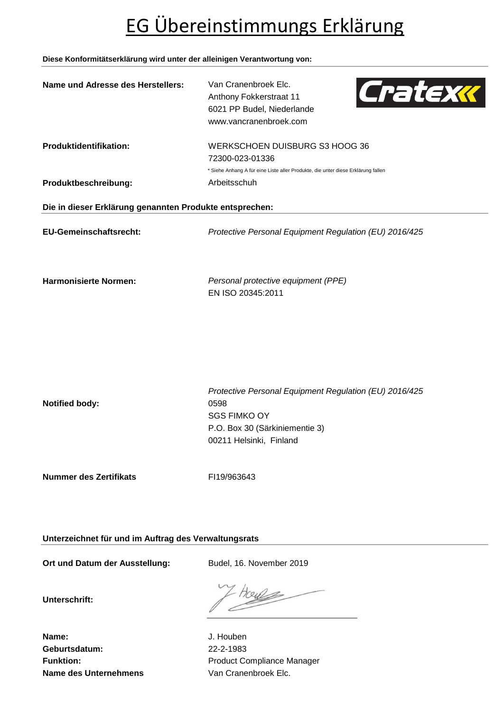# EG Übereinstimmungs Erklärung

### **Diese Konformitätserklärung wird unter der alleinigen Verantwortung von:**

| Name und Adresse des Herstellers:                       | Van Cranenbroek Elc.<br>Cratexx<br>Anthony Fokkerstraat 11<br>6021 PP Budel, Niederlande<br>www.vancranenbroek.com                                 |  |  |  |
|---------------------------------------------------------|----------------------------------------------------------------------------------------------------------------------------------------------------|--|--|--|
| Produktidentifikation:                                  | WERKSCHOEN DUISBURG S3 HOOG 36<br>72300-023-01336                                                                                                  |  |  |  |
|                                                         | * Siehe Anhang A für eine Liste aller Produkte, die unter diese Erklärung fallen                                                                   |  |  |  |
| Produktbeschreibung:                                    | Arbeitsschuh                                                                                                                                       |  |  |  |
| Die in dieser Erklärung genannten Produkte entsprechen: |                                                                                                                                                    |  |  |  |
| <b>EU-Gemeinschaftsrecht:</b>                           | Protective Personal Equipment Regulation (EU) 2016/425                                                                                             |  |  |  |
| <b>Harmonisierte Normen:</b>                            | Personal protective equipment (PPE)<br>EN ISO 20345:2011                                                                                           |  |  |  |
|                                                         |                                                                                                                                                    |  |  |  |
| <b>Notified body:</b>                                   | Protective Personal Equipment Regulation (EU) 2016/425<br>0598<br><b>SGS FIMKO OY</b><br>P.O. Box 30 (Särkiniementie 3)<br>00211 Helsinki, Finland |  |  |  |

**Nummer des Zertifikats** FI19/963643

**Unterzeichnet für und im Auftrag des Verwaltungsrats**

Ort und Datum der Ausstellung: Budel, 16. November 2019

**Unterschrift:**

House

**Name:** J. Houben **Geburtsdatum:** 22-2-1983 **Name des Unternehmens** Van Cranenbroek Elc.

Funktion: **Funktion:** Product Compliance Manager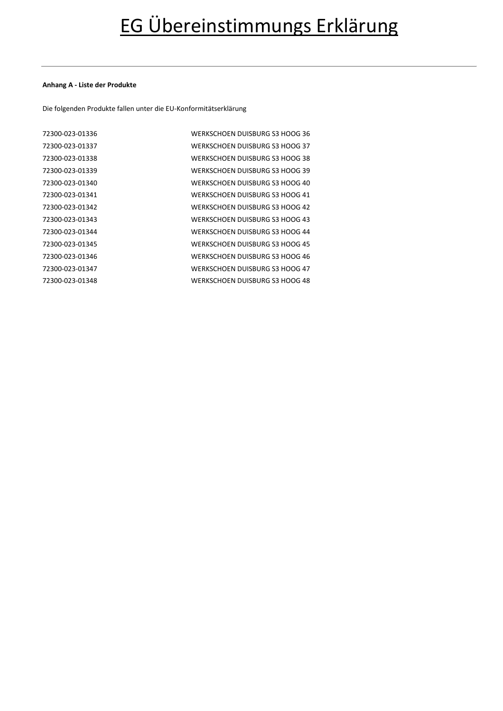### **Anhang A - Liste der Produkte**

Die folgenden Produkte fallen unter die EU-Konformitätserklärung

| 72300-023-01336 | WERKSCHOEN DUISBURG S3 HOOG 36 |
|-----------------|--------------------------------|
| 72300-023-01337 | WERKSCHOEN DUISBURG S3 HOOG 37 |
| 72300-023-01338 | WERKSCHOEN DUISBURG S3 HOOG 38 |
| 72300-023-01339 | WERKSCHOEN DUISBURG S3 HOOG 39 |
| 72300-023-01340 | WERKSCHOEN DUISBURG S3 HOOG 40 |
| 72300-023-01341 | WERKSCHOEN DUISBURG S3 HOOG 41 |
| 72300-023-01342 | WERKSCHOEN DUISBURG S3 HOOG 42 |
| 72300-023-01343 | WERKSCHOEN DUISBURG S3 HOOG 43 |
| 72300-023-01344 | WERKSCHOEN DUISBURG S3 HOOG 44 |
| 72300-023-01345 | WERKSCHOEN DUISBURG S3 HOOG 45 |
| 72300-023-01346 | WERKSCHOEN DUISBURG S3 HOOG 46 |
| 72300-023-01347 | WERKSCHOEN DUISBURG S3 HOOG 47 |
| 72300-023-01348 | WERKSCHOEN DUISBURG S3 HOOG 48 |
|                 |                                |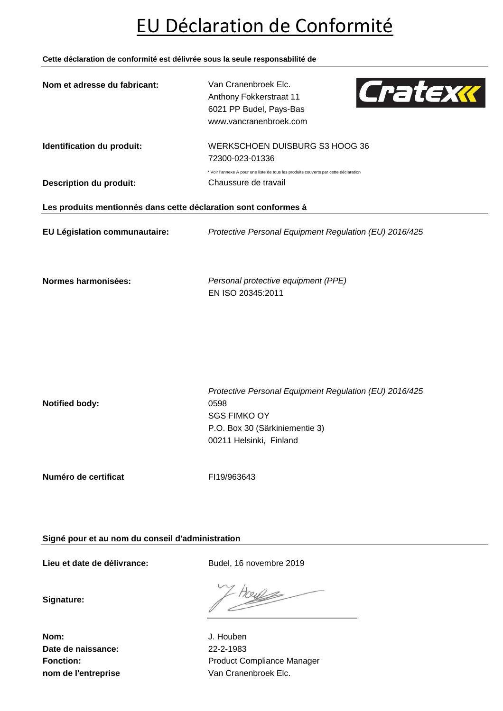## EU Déclaration de Conformité

**Cette déclaration de conformité est délivrée sous la seule responsabilité de**

| Nom et adresse du fabricant:                                    | Van Cranenbroek Elc.                                                                 |  |  |  |
|-----------------------------------------------------------------|--------------------------------------------------------------------------------------|--|--|--|
|                                                                 | Cratexx<br>Anthony Fokkerstraat 11                                                   |  |  |  |
|                                                                 | 6021 PP Budel, Pays-Bas                                                              |  |  |  |
|                                                                 | www.vancranenbroek.com                                                               |  |  |  |
| Identification du produit:                                      | WERKSCHOEN DUISBURG S3 HOOG 36                                                       |  |  |  |
|                                                                 | 72300-023-01336                                                                      |  |  |  |
|                                                                 | * Voir l'annexe A pour une liste de tous les produits couverts par cette déclaration |  |  |  |
| <b>Description du produit:</b>                                  | Chaussure de travail                                                                 |  |  |  |
| Les produits mentionnés dans cette déclaration sont conformes à |                                                                                      |  |  |  |
|                                                                 |                                                                                      |  |  |  |
| EU Législation communautaire:                                   | Protective Personal Equipment Regulation (EU) 2016/425                               |  |  |  |
|                                                                 |                                                                                      |  |  |  |
|                                                                 |                                                                                      |  |  |  |
| Normes harmonisées:                                             | Personal protective equipment (PPE)                                                  |  |  |  |
|                                                                 | EN ISO 20345:2011                                                                    |  |  |  |
|                                                                 |                                                                                      |  |  |  |
|                                                                 |                                                                                      |  |  |  |
|                                                                 |                                                                                      |  |  |  |
|                                                                 |                                                                                      |  |  |  |
|                                                                 |                                                                                      |  |  |  |
|                                                                 |                                                                                      |  |  |  |
|                                                                 | Protective Personal Equipment Regulation (EU) 2016/425                               |  |  |  |
| <b>Notified body:</b>                                           | 0598                                                                                 |  |  |  |
|                                                                 | <b>SGS FIMKO OY</b>                                                                  |  |  |  |
|                                                                 | P.O. Box 30 (Särkiniementie 3)                                                       |  |  |  |
|                                                                 | 00211 Helsinki, Finland                                                              |  |  |  |
|                                                                 |                                                                                      |  |  |  |

**Numéro de certificat** FI19/963643

**Signé pour et au nom du conseil d'administration**

**Lieu et date de délivrance:** Budel, 16 novembre 2019

**Signature:**

7024k

**Nom:** J. Houben **Date de naissance:** 22-2-1983

Fonction: **Fonction:** Product Compliance Manager **nom de l'entreprise** Van Cranenbroek Elc.